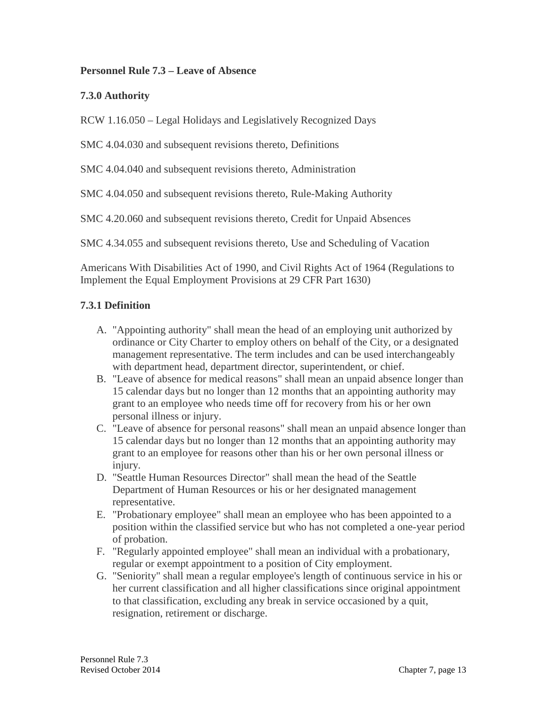#### **Personnel Rule 7.3 – Leave of Absence**

#### **7.3.0 Authority**

RCW 1.16.050 – Legal Holidays and Legislatively Recognized Days

SMC 4.04.030 and subsequent revisions thereto, Definitions

SMC 4.04.040 and subsequent revisions thereto, Administration

SMC 4.04.050 and subsequent revisions thereto, Rule-Making Authority

SMC 4.20.060 and subsequent revisions thereto, Credit for Unpaid Absences

SMC 4.34.055 and subsequent revisions thereto, Use and Scheduling of Vacation

Americans With Disabilities Act of 1990, and Civil Rights Act of 1964 (Regulations to Implement the Equal Employment Provisions at 29 CFR Part 1630)

#### **7.3.1 Definition**

- A. "Appointing authority" shall mean the head of an employing unit authorized by ordinance or City Charter to employ others on behalf of the City, or a designated management representative. The term includes and can be used interchangeably with department head, department director, superintendent, or chief.
- B. "Leave of absence for medical reasons" shall mean an unpaid absence longer than 15 calendar days but no longer than 12 months that an appointing authority may grant to an employee who needs time off for recovery from his or her own personal illness or injury.
- C. "Leave of absence for personal reasons" shall mean an unpaid absence longer than 15 calendar days but no longer than 12 months that an appointing authority may grant to an employee for reasons other than his or her own personal illness or injury.
- D. "Seattle Human Resources Director" shall mean the head of the Seattle Department of Human Resources or his or her designated management representative.
- E. "Probationary employee" shall mean an employee who has been appointed to a position within the classified service but who has not completed a one-year period of probation.
- F. "Regularly appointed employee" shall mean an individual with a probationary, regular or exempt appointment to a position of City employment.
- G. "Seniority" shall mean a regular employee's length of continuous service in his or her current classification and all higher classifications since original appointment to that classification, excluding any break in service occasioned by a quit, resignation, retirement or discharge.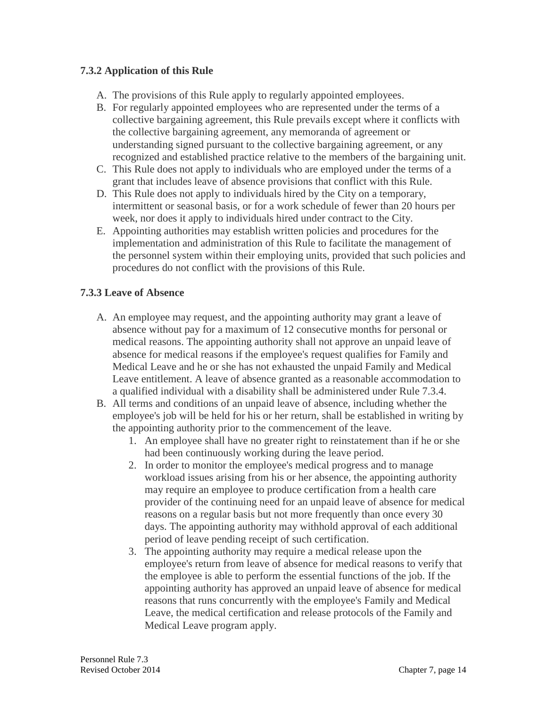# **7.3.2 Application of this Rule**

- A. The provisions of this Rule apply to regularly appointed employees.
- B. For regularly appointed employees who are represented under the terms of a collective bargaining agreement, this Rule prevails except where it conflicts with the collective bargaining agreement, any memoranda of agreement or understanding signed pursuant to the collective bargaining agreement, or any recognized and established practice relative to the members of the bargaining unit.
- C. This Rule does not apply to individuals who are employed under the terms of a grant that includes leave of absence provisions that conflict with this Rule.
- D. This Rule does not apply to individuals hired by the City on a temporary, intermittent or seasonal basis, or for a work schedule of fewer than 20 hours per week, nor does it apply to individuals hired under contract to the City.
- E. Appointing authorities may establish written policies and procedures for the implementation and administration of this Rule to facilitate the management of the personnel system within their employing units, provided that such policies and procedures do not conflict with the provisions of this Rule.

## **7.3.3 Leave of Absence**

- A. An employee may request, and the appointing authority may grant a leave of absence without pay for a maximum of 12 consecutive months for personal or medical reasons. The appointing authority shall not approve an unpaid leave of absence for medical reasons if the employee's request qualifies for Family and Medical Leave and he or she has not exhausted the unpaid Family and Medical Leave entitlement. A leave of absence granted as a reasonable accommodation to a qualified individual with a disability shall be administered under Rule 7.3.4.
- B. All terms and conditions of an unpaid leave of absence, including whether the employee's job will be held for his or her return, shall be established in writing by the appointing authority prior to the commencement of the leave.
	- 1. An employee shall have no greater right to reinstatement than if he or she had been continuously working during the leave period.
	- 2. In order to monitor the employee's medical progress and to manage workload issues arising from his or her absence, the appointing authority may require an employee to produce certification from a health care provider of the continuing need for an unpaid leave of absence for medical reasons on a regular basis but not more frequently than once every 30 days. The appointing authority may withhold approval of each additional period of leave pending receipt of such certification.
	- 3. The appointing authority may require a medical release upon the employee's return from leave of absence for medical reasons to verify that the employee is able to perform the essential functions of the job. If the appointing authority has approved an unpaid leave of absence for medical reasons that runs concurrently with the employee's Family and Medical Leave, the medical certification and release protocols of the Family and Medical Leave program apply.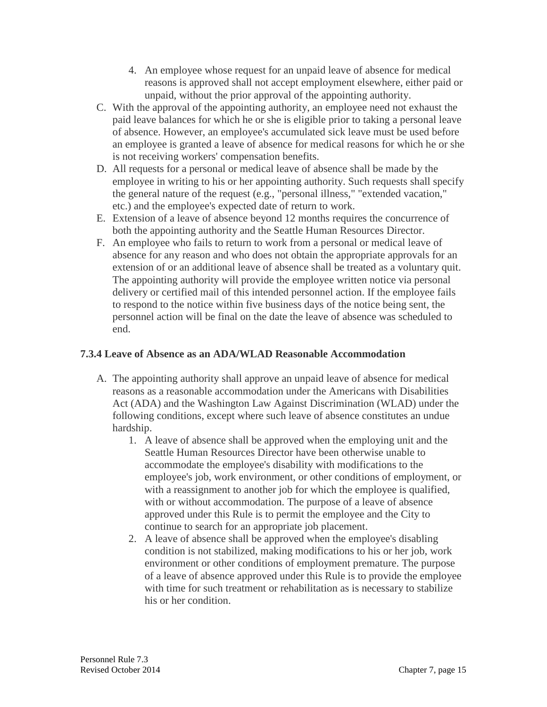- 4. An employee whose request for an unpaid leave of absence for medical reasons is approved shall not accept employment elsewhere, either paid or unpaid, without the prior approval of the appointing authority.
- C. With the approval of the appointing authority, an employee need not exhaust the paid leave balances for which he or she is eligible prior to taking a personal leave of absence. However, an employee's accumulated sick leave must be used before an employee is granted a leave of absence for medical reasons for which he or she is not receiving workers' compensation benefits.
- D. All requests for a personal or medical leave of absence shall be made by the employee in writing to his or her appointing authority. Such requests shall specify the general nature of the request (e.g., "personal illness," "extended vacation," etc.) and the employee's expected date of return to work.
- E. Extension of a leave of absence beyond 12 months requires the concurrence of both the appointing authority and the Seattle Human Resources Director.
- F. An employee who fails to return to work from a personal or medical leave of absence for any reason and who does not obtain the appropriate approvals for an extension of or an additional leave of absence shall be treated as a voluntary quit. The appointing authority will provide the employee written notice via personal delivery or certified mail of this intended personnel action. If the employee fails to respond to the notice within five business days of the notice being sent, the personnel action will be final on the date the leave of absence was scheduled to end.

### **7.3.4 Leave of Absence as an ADA/WLAD Reasonable Accommodation**

- A. The appointing authority shall approve an unpaid leave of absence for medical reasons as a reasonable accommodation under the Americans with Disabilities Act (ADA) and the Washington Law Against Discrimination (WLAD) under the following conditions, except where such leave of absence constitutes an undue hardship.
	- 1. A leave of absence shall be approved when the employing unit and the Seattle Human Resources Director have been otherwise unable to accommodate the employee's disability with modifications to the employee's job, work environment, or other conditions of employment, or with a reassignment to another job for which the employee is qualified, with or without accommodation. The purpose of a leave of absence approved under this Rule is to permit the employee and the City to continue to search for an appropriate job placement.
	- 2. A leave of absence shall be approved when the employee's disabling condition is not stabilized, making modifications to his or her job, work environment or other conditions of employment premature. The purpose of a leave of absence approved under this Rule is to provide the employee with time for such treatment or rehabilitation as is necessary to stabilize his or her condition.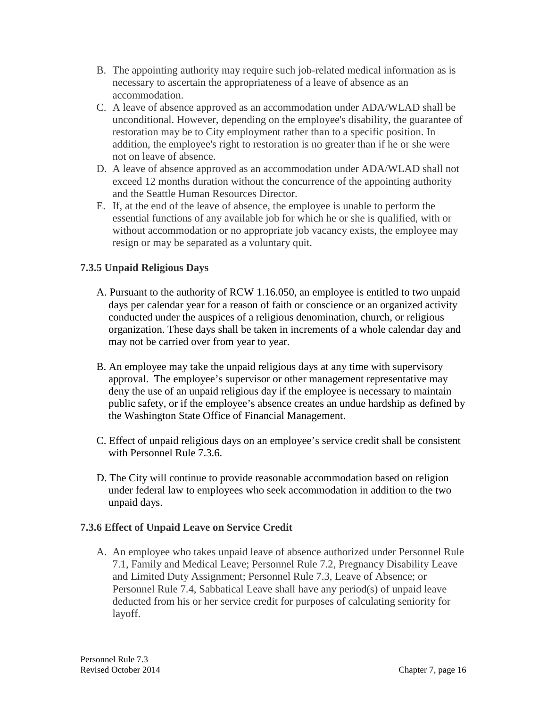- B. The appointing authority may require such job-related medical information as is necessary to ascertain the appropriateness of a leave of absence as an accommodation.
- C. A leave of absence approved as an accommodation under ADA/WLAD shall be unconditional. However, depending on the employee's disability, the guarantee of restoration may be to City employment rather than to a specific position. In addition, the employee's right to restoration is no greater than if he or she were not on leave of absence.
- D. A leave of absence approved as an accommodation under ADA/WLAD shall not exceed 12 months duration without the concurrence of the appointing authority and the Seattle Human Resources Director.
- E. If, at the end of the leave of absence, the employee is unable to perform the essential functions of any available job for which he or she is qualified, with or without accommodation or no appropriate job vacancy exists, the employee may resign or may be separated as a voluntary quit.

## **7.3.5 Unpaid Religious Days**

- A. Pursuant to the authority of RCW 1.16.050, an employee is entitled to two unpaid days per calendar year for a reason of faith or conscience or an organized activity conducted under the auspices of a religious denomination, church, or religious organization. These days shall be taken in increments of a whole calendar day and may not be carried over from year to year.
- B. An employee may take the unpaid religious days at any time with supervisory approval. The employee's supervisor or other management representative may deny the use of an unpaid religious day if the employee is necessary to maintain public safety, or if the employee's absence creates an undue hardship as defined by the Washington State Office of Financial Management.
- C. Effect of unpaid religious days on an employee's service credit shall be consistent with Personnel Rule 7.3.6.
- D. The City will continue to provide reasonable accommodation based on religion under federal law to employees who seek accommodation in addition to the two unpaid days.

#### **7.3.6 Effect of Unpaid Leave on Service Credit**

A. An employee who takes unpaid leave of absence authorized under Personnel Rule 7.1, Family and Medical Leave; Personnel Rule 7.2, Pregnancy Disability Leave and Limited Duty Assignment; Personnel Rule 7.3, Leave of Absence; or Personnel Rule 7.4, Sabbatical Leave shall have any period(s) of unpaid leave deducted from his or her service credit for purposes of calculating seniority for layoff.